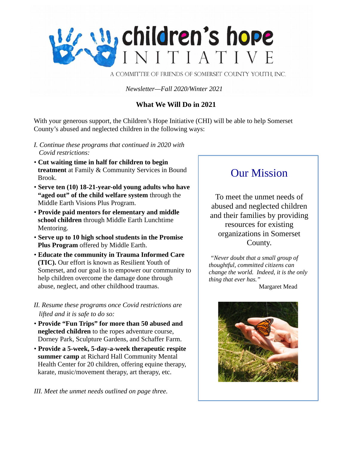

A COMMITTEE OF FRIENDS OF SOMERSET COUNTY YOUTH, INC.

*Newsletter—Fall 2020/Winter 2021*

## **What We Will Do in 2021**

With your generous support, the Children's Hope Initiative (CHI) will be able to help Somerset County's abused and neglected children in the following ways:

- *I. Continue these programs that continued in 2020 with Covid restrictions:*
- **Cut waiting time in half for children to begin treatment** at Family & Community Services in Bound Brook.
- **Serve ten (10) 18-21-year-old young adults who have "aged out" of the child welfare system** through the Middle Earth Visions Plus Program.
- **Provide paid mentors for elementary and middle school children** through Middle Earth Lunchtime Mentoring.
- **Serve up to 10 high school students in the Promise Plus Program** offered by Middle Earth.
- **Educate the community in Trauma Informed Care (TIC).** Our effort is known as Resilient Youth of Somerset, and our goal is to empower our community to help children overcome the damage done through abuse, neglect, and other childhood traumas.
- *II. Resume these programs once Covid restrictions are lifted and it is safe to do so:*
- **Provide "Fun Trips" for more than 50 abused and neglected children** to the ropes adventure course, Dorney Park, Sculpture Gardens, and Schaffer Farm.
- **Provide a 5-week, 5-day-a-week therapeutic respite summer camp** at Richard Hall Community Mental Health Center for 20 children, offering equine therapy, karate, music/movement therapy, art therapy, etc.

*III. Meet the unmet needs outlined on page three.*

# Our Mission

To meet the unmet needs of abused and neglected children and their families by providing resources for existing organizations in Somerset County.

*"Never doubt that a small group of thoughtful, committed citizens can change the world. Indeed, it is the only thing that ever has."*

Margaret Mead

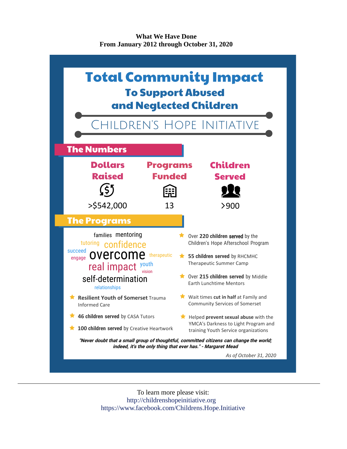**What We Have Done From January 2012 through October 31, 2020**



To learn more please visit: http://childrenshopeinitiative.org https://www.facebook.com/Childrens.Hope.Initiative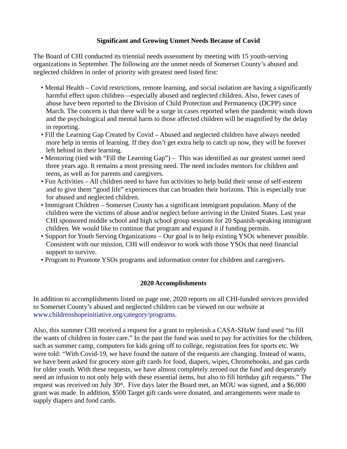### **Significant and Growing Unmet Needs Because of Covid**

The Board of CHI conducted its triennial needs assessment by meeting with 15 youth-serving organizations in September. The following are the unmet needs of Somerset County's abused and neglected children in order of priority with greatest need listed first:

- Mental Health Covid restrictions, remote learning, and social isolation are having a significantly harmful effect upon children—especially abused and neglected children. Also, fewer cases of abuse have been reported to the Division of Child Protection and Permanency (DCPP) since March. The concern is that there will be a surge in cases reported when the pandemic winds down and the psychological and mental harm to those affected children will be magnified by the delay in reporting.
- Fill the Learning Gap Created by Covid Abused and neglected children have always needed more help in terms of learning. If they don't get extra help to catch up now, they will be forever left behind in their learning.
- Mentoring (tied with "Fill the Learning Gap") This was identified as our greatest unmet need three years ago. It remains a most pressing need. The need includes mentors for children and teens, as well as for parents and caregivers.
- Fun Activities All children need to have fun activities to help build their sense of self-esteem and to give them "good life" experiences that can broaden their horizons. This is especially true for abused and neglected children.
- Immigrant Children Somerset County has a significant immigrant population. Many of the children were the victims of abuse and/or neglect before arriving in the United States. Last year CHI sponsored middle school and high school group sessions for 20 Spanish-speaking immigrant children. We would like to continue that program and expand it if funding permits.
- Support for Youth Serving Organizations Our goal is to help existing YSOs whenever possible. Consistent with our mission, CHI will endeavor to work with those YSOs that need financial support to survive.
- Program to Promote YSOs programs and information center for children and caregivers.

#### **2020 Accomplishments**

In addition to accomplishments listed on page one, 2020 reports on all CHI-funded services provided to Somerset County's abused and neglected children can be viewed on our website at www.childrenshopeinitiative.org/category/programs.

Also, this summer CHI received a request for a grant to replenish a CASA-SHaW fund used "to fill the wants of children in foster care." In the past the fund was used to pay for activities for the children, such as summer camp, computers for kids going off to college, registration fees for sports etc. We were told: "With Covid-19, we have found the nature of the requests are changing. Instead of wants, we have been asked for grocery store gift cards for food, diapers, wipes, Chromebooks, and gas cards for older youth. With these requests, we have almost completely zeroed out the fund and desperately need an infusion to not only help with these essential items, but also to fill birthday gift requests." The request was received on July 30<sup>th</sup>. Five days later the Board met, an MOU was signed, and a \$6,000 grant was made. In addition, \$500 Target gift cards were donated, and arrangements were made to supply diapers and food cards.